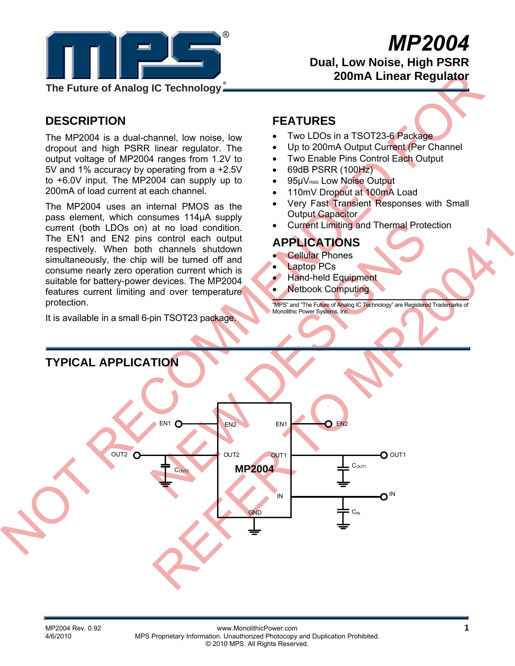

# *MP2004*

 **Dual, Low Noise, High PSRR 200mA Linear Regulator** 

**The Future of Analog IC Technology**

# **DESCRIPTION**

The MP2004 is a dual-channel, low noise, low dropout and high PSRR linear regulator. The output voltage of MP2004 ranges from 1.2V to 5V and 1% accuracy by operating from a +2.5V to +6.0V input. The MP2004 can supply up to 200mA of load current at each channel.

The MP2004 uses an internal PMOS as the pass element, which consumes 114μA supply current (both LDOs on) at no load condition. The EN1 and EN2 pins control each output respectively. When both channels shutdown simultaneously, the chip will be turned off and consume nearly zero operation current which is suitable for battery-power devices. The MP2004 features current limiting and over temperature protection.

It is available in a small 6-pin TSOT23 package.

## **FEATURES**

- Two LDOs in a TSOT23-6 Package
- Up to 200mA Output Current (Per Channel
- **Two Enable Pins Control Each Output**
- 69dB PSRR (100Hz)
- 95µVRMS Low Noise Output
- 110mV Dropout at 100mA Load
- Very Fast Transient Responses with Small Output Capacitor
- Current Limiting and Thermal Protection

## **APPLICATIONS**

- **Cellular Phones**
- **Laptop PCs**
- Hand-held Equipment
- Netbook Computing

"MPS" and "The Future of Analog IC Technology" are Registered Trademarks of Monolithic Power Systems, Inc.

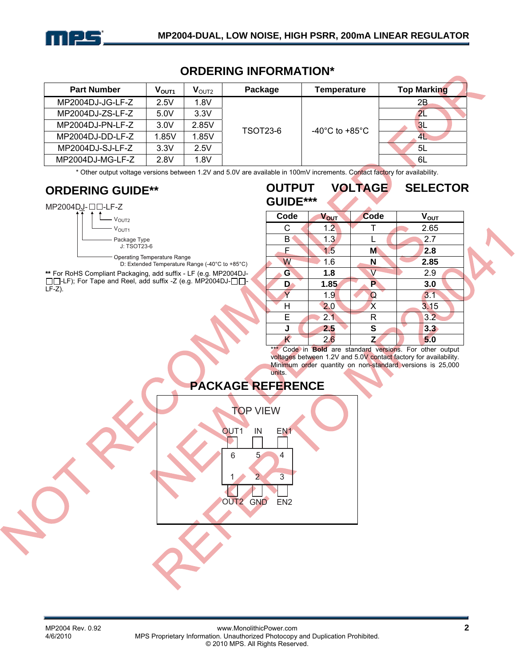

## **ORDERING INFORMATION\***

| <b>Part Number</b> | $V_{\rm OUT1}$ | $\mathbf{V}_{\text{OUT2}}$ | Package         | Temperature    | <b>Top Marking</b> |
|--------------------|----------------|----------------------------|-----------------|----------------|--------------------|
| MP2004DJ-JG-LF-Z   | 2.5V           | 1.8V                       |                 |                | 2B                 |
| MP2004DJ-ZS-LF-Z   | 5.0V           | 3.3V                       | <b>TSOT23-6</b> | -40°C to +85°C | 2L                 |
| MP2004DJ-PN-LF-Z   | 3.0V           | 2.85V                      |                 |                | 3L                 |
| MP2004DJ-DD-LF-Z   | 1.85V          | 1.85V                      |                 |                | 4L                 |
| MP2004DJ-SJ-LF-Z   | 3.3V           | 2.5V                       |                 |                | 5L                 |
| MP2004DJ-MG-LF-Z   | 2.8V           | 1.8V                       |                 |                | 6L                 |

\* Other output voltage versions between 1.2V and 5.0V are available in 100mV increments. Contact factory for availability.

## **ORDERING GUIDE\*\***





Operating Temperature Range

D: Extended Temperature Range (-40°C to +85°C)

**\*\*** For RoHS Compliant Packaging, add suffix - LF (e.g. MP2004DJ- -LF); For Tape and Reel, add suffix -Z (e.g. MP2004DJ- $\square \square$ - $LF-Z$ ).

| VVII VI<br>GUIDE*** |             | VULIAUL | ULLLV I VI\      |
|---------------------|-------------|---------|------------------|
| Code                | <b>VOUT</b> | Code    | $V_{\text{OUT}}$ |
| С                   | 1.2         |         | 2.65             |
| B                   | 1.3         |         | 2.7              |
| F                   | 1.5         | M       | 2.8              |
| W                   | 1.6         | N       | 2.85             |
| G                   | 1.8         | V       | 2.9              |
| D                   | 1.85        | P       | 3.0              |
| ٧                   | 1.9         | Q       | 3.1              |
| Н                   | 2.0         | Χ       | 3.15             |
| E                   | 2.1         | R       | 3.2              |
| J                   | 2.5         | S       | 3.3              |
| K                   | 2.6         | Z       | 5.0              |

**OUTPUT VOLTAGE SELECTOR** 

\*\*\* Code in **Bold** are standard versions. For other output voltages between 1.2V and 5.0V contact factory for availability. Minimum order quantity on non-standard versions is 25,000 units.

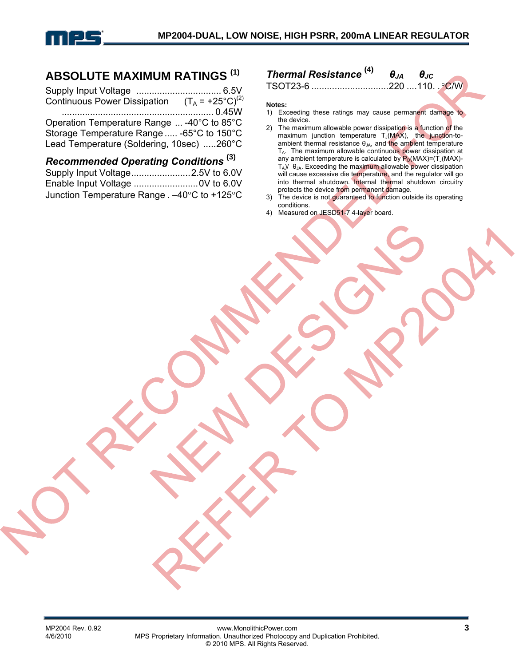

## **ABSOLUTE MAXIMUM RATINGS (1)**

| Continuous Power Dissipation $(T_A = +25^{\circ}C)^{(2)}$ |  |
|-----------------------------------------------------------|--|
|                                                           |  |
| Operation Temperature Range  -40°C to 85°C                |  |
| Storage Temperature Range  -65°C to 150°C                 |  |
| Lead Temperature (Soldering, 10sec) 260°C                 |  |

*Recommended Operating Conditions* **(3)** Supply Input Voltage.......................2.5V to 6.0V Enable Input Voltage .........................0V to 6.0V Junction Temperature Range . –40°C to +125°C

## *Thermal Resistance* **(4)** *θJA θJC*

TSOT23-6 ..............................220 ....110. .°C/W

**Notes:** 

- 1) Exceeding these ratings may cause permanent damage to the device.
- 2) The maximum allowable power dissipation is a function of the maximum junction temperature  $T_J(MAX)$ , the junction-toambient thermal resistance  $\theta_{JA}$ , and the ambient temperature  $T_A$ . The maximum allowable continuous power dissipation at any ambient temperature is calculated by  $P_D(MAX)=(T_J(MAX)-T_J(MAX)-T_J(MAX))$  $T_A$ )/  $θ_{JA}$ . Exceeding the maximum allowable power dissipation will cause excessive die temperature, and the regulator will go into thermal shutdown. Internal thermal shutdown circuitry protects the device from permanent damage.
- 3) The device is not guaranteed to function outside its operating conditions.
- 4) Measured on JESD51-7 4-layer board.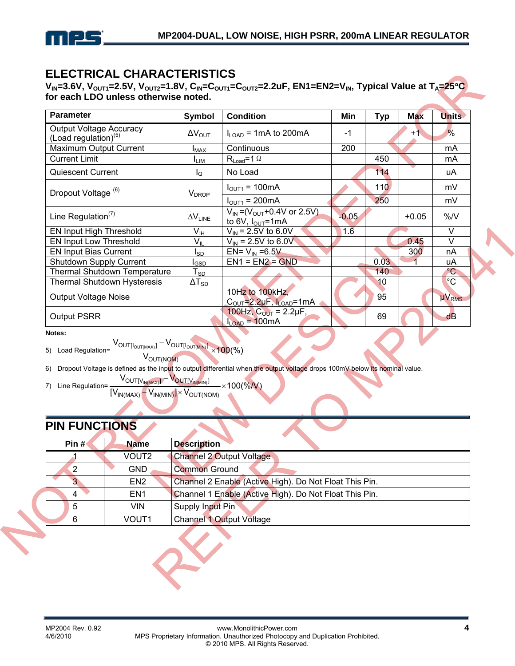

## **ELECTRICAL CHARACTERISTICS**

V<sub>IN</sub>=3.6V, V<sub>OUT1</sub>=2.5V, V<sub>OUT2</sub>=1.8V, C<sub>IN</sub>=C<sub>OUT1</sub>=C<sub>OUT2</sub>=2.2uF, EN1=EN2=V<sub>IN</sub>, Typical Value at T<sub>A</sub>=25°C **for each LDO unless otherwise noted.** 

| <b>Parameter</b>                                          | Symbol                   | <b>Condition</b>                                                             | Min     | <b>Typ</b> | <b>Max</b> | <b>Units</b>    |
|-----------------------------------------------------------|--------------------------|------------------------------------------------------------------------------|---------|------------|------------|-----------------|
| <b>Output Voltage Accuracy</b><br>(Load regulation) $(5)$ | $\Delta V_{\text{OUT}}$  | $I_{\text{LOAD}}$ = 1 mA to 200 mA                                           | $-1$    |            | $+1$       | $\frac{9}{6}$   |
| Maximum Output Current                                    | <b>I</b> MAX             | Continuous                                                                   | 200     |            |            | mA              |
| <b>Current Limit</b>                                      | <b>LIM</b>               | $R_{Load} = 1$ $\Omega$                                                      |         | 450        |            | mA              |
| <b>Quiescent Current</b>                                  | $I_{\Omega}$             | No Load                                                                      |         | 114        |            | uA              |
| Dropout Voltage <sup>(6)</sup>                            | <b>V</b> <sub>DROP</sub> | $I_{\text{OUT1}} = 100 \text{mA}$                                            |         | 110/       |            | mV              |
|                                                           |                          | $I_{\text{OUT1}} = 200 \text{mA}$                                            |         | 250        |            | mV              |
| Line Regulation <sup><math>(7)</math></sup>               | $\Delta V_{\text{LINE}}$ | $V_{IN} = (V_{OUT} + 0.4V \text{ or } 2.5V)$<br>to 6V, $I_{\text{OUT}}$ =1mA | $-0.05$ |            | $+0.05$    | %N              |
| EN Input High Threshold                                   | V <sub>IH</sub>          | $V_{\text{IN}}$ = 2.5V to 6.0V                                               | 1.6     |            |            | V               |
| EN Input Low Threshold                                    | $V_{IL}$                 | $V_{\text{IN}}$ = 2.5V to 6.0V                                               |         |            | 0.45       | $\vee$          |
| <b>EN Input Bias Current</b>                              | Isp                      | EN= $V_{IN} = 6.5V$                                                          |         |            | 300        | nA              |
| Shutdown Supply Current                                   | I <sub>GSD</sub>         | $EN1 = EN2 = GND$                                                            |         | 0.03       |            | uA              |
| <b>Thermal Shutdown Temperature</b>                       | $T_{SD}$                 |                                                                              |         | 140        |            | $^{\circ}$ C    |
| <b>Thermal Shutdown Hysteresis</b>                        | $\Delta T_{SD}$          |                                                                              |         | 10         |            | $\rm ^{\circ}C$ |
| <b>Output Voltage Noise</b>                               |                          | 10Hz to 100kHz,<br>$COUT=2.2\mu F, ILOAD=1mA$                                |         | 95         |            | $\mu V_{RMS}$   |
| <b>Output PSRR</b>                                        |                          | 100Hz, $C_{OUT} = 2.2 \mu F$ ,<br>$I_{LOAD} = 100mA$                         |         | 69         |            | $\overline{dB}$ |

**Notes:** 

5) Load Regulation=  $\frac{V_{\text{OUT[NoUT(MAN)]}} - V_{\text{OUT[NoUT(MIN)]}}}{V_{\text{OUT(NOM)}}} \times 100\%$  $V_{\text{OUT[I_{OUT(MAX)}]} }$ 

V<sub>OUT(NOM)</sub>

6) Dropout Voltage is defined as the input to output differential when the output voltage drops 100mV below its nominal value.

7) Line Regulation=  $\frac{100 \times 10^{10} \text{Jy/m(x)} + 100}{[V_{IN(MAX)} - V_{IN(MIN)}] \times V_{OUT(NOM)}} \times 100$ (%/V)  ${\rm V}_{\rm OUT[V_{\rm IN(MAX)}]}-{\rm V}_{\rm OUT[V_{\rm IN(MIN)}]}$ 

# **PIN FUNCTIONS**

| Pin $#$ | <b>Name</b>       | <b>Description</b>                                     |
|---------|-------------------|--------------------------------------------------------|
|         | VOUT2             | <b>Channel 2 Output Voltage</b>                        |
| 2       | <b>GND</b>        | <b>Common Ground</b>                                   |
|         | EN <sub>2</sub>   | Channel 2 Enable (Active High). Do Not Float This Pin. |
| 4       | EN <sub>1</sub>   | Channel 1 Enable (Active High). Do Not Float This Pin. |
| 5       | VIN.              | Supply Input Pin                                       |
| 6       | VOUT <sub>1</sub> | <b>Channel 1 Output Voltage</b>                        |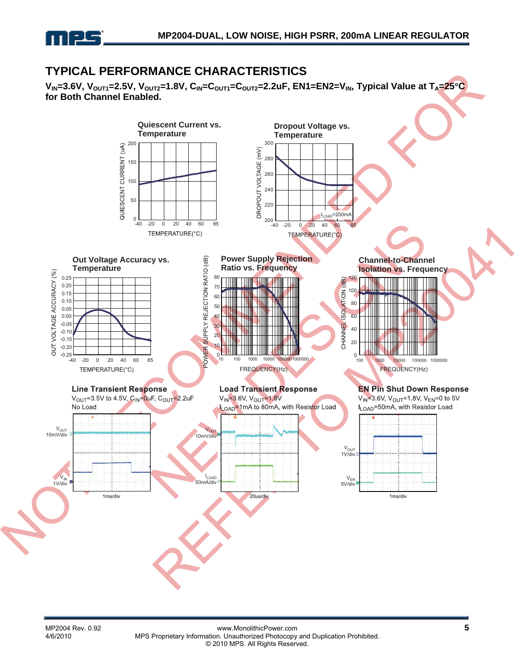

## **TYPICAL PERFORMANCE CHARACTERISTICS**

V<sub>IN</sub>=3.6V, V<sub>OUT1</sub>=2.5V, V<sub>OUT2</sub>=1.8V, C<sub>IN</sub>=C<sub>OUT1</sub>=C<sub>OUT2</sub>=2.2uF, EN1=EN2=V<sub>IN</sub>, Typical Value at T<sub>A</sub>=25°C **for Both Channel Enabled.** 

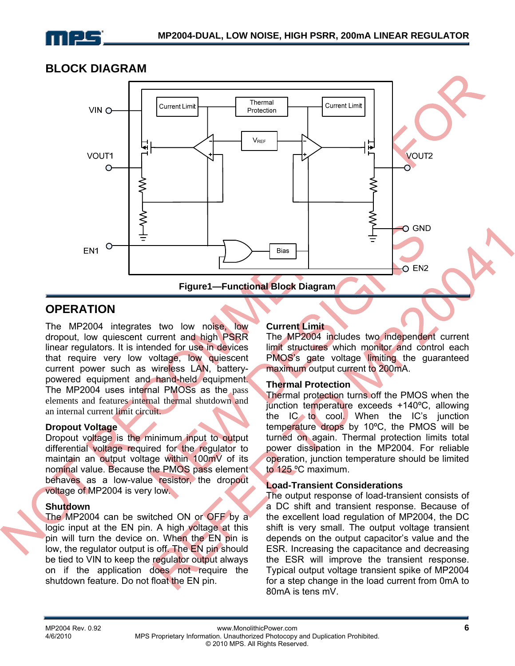

## **BLOCK DIAGRAM**



## **OPERATION**

The MP2004 integrates two low noise, low dropout, low quiescent current and high PSRR linear regulators. It is intended for use in devices that require very low voltage, low quiescent current power such as wireless LAN, batterypowered equipment and hand-held equipment. The MP2004 uses internal PMOSs as the pass elements and features internal thermal shutdown and an internal current limit circuit.

#### **Dropout Voltage**

Dropout voltage is the minimum input to output differential voltage required for the regulator to maintain an output voltage within 100mV of its nominal value. Because the PMOS pass element behaves as a low-value resistor, the dropout voltage of MP2004 is very low.

#### **Shutdown**

The MP2004 can be switched ON or OFF by a logic input at the EN pin. A high voltage at this pin will turn the device on. When the EN pin is low, the regulator output is off. The EN pin should be tied to VIN to keep the regulator output always on if the application does not require the shutdown feature. Do not float the EN pin.

#### **Current Limit**

The MP2004 includes two independent current limit structures which monitor and control each PMOS's gate voltage limiting the guaranteed maximum output current to 200mA.

#### **Thermal Protection**

Thermal protection turns off the PMOS when the junction temperature exceeds +140ºC, allowing the IC to cool. When the IC's junction temperature drops by 10ºC, the PMOS will be turned on again. Thermal protection limits total power dissipation in the MP2004. For reliable operation, junction temperature should be limited to 125 ºC maximum.

#### **Load-Transient Considerations**

The output response of load-transient consists of a DC shift and transient response. Because of the excellent load regulation of MP2004, the DC shift is very small. The output voltage transient depends on the output capacitor's value and the ESR. Increasing the capacitance and decreasing the ESR will improve the transient response. Typical output voltage transient spike of MP2004 for a step change in the load current from 0mA to 80mA is tens mV.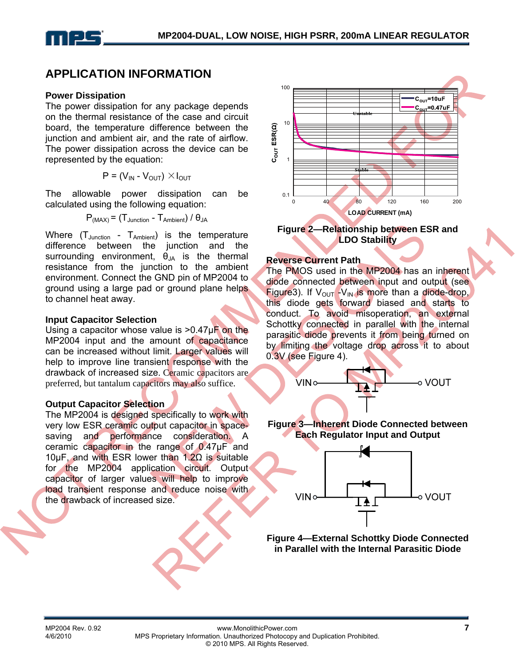## **APPLICATION INFORMATION**

#### **Power Dissipation**

The power dissipation for any package depends on the thermal resistance of the case and circuit board, the temperature difference between the junction and ambient air, and the rate of airflow. The power dissipation across the device can be represented by the equation:

$$
P = (V_{IN} - V_{OUT}) \times I_{OUT}
$$

The allowable power dissipation can be calculated using the following equation:

$$
P_{(MAX)}
$$
 = (T<sub>Junction</sub> - T<sub>Ambient</sub>) /  $\theta_{JA}$ 

Where  $(T_{\text{Junction}} - T_{\text{Ambient}})$  is the temperature difference between the junction and the surrounding environment,  $\theta_{JA}$  is the thermal resistance from the junction to the ambient environment. Connect the GND pin of MP2004 to ground using a large pad or ground plane helps to channel heat away.

#### **Input Capacitor Selection**

Using a capacitor whose value is  $>0.47\mu$ F on the MP2004 input and the amount of capacitance can be increased without limit. Larger values will help to improve line transient response with the drawback of increased size. Ceramic capacitors are preferred, but tantalum capacitors may also suffice.

#### **Output Capacitor Selection**

The MP2004 is designed specifically to work with very low ESR ceramic output capacitor in spacesaving and performance consideration. A ceramic capacitor in the range of 0.47µF and 10µF, and with ESR lower than 1.2Ω is suitable for the MP2004 application circuit. Output capacitor of larger values will help to improve load transient response and reduce noise with the drawback of increased size.





#### **Reverse Current Path**

The PMOS used in the MP2004 has an inherent diode connected between input and output (see Figure3). If  $V_{\text{OUT}}$  -V<sub>IN</sub> is more than a diode-drop, this diode gets forward biased and starts to conduct. To avoid misoperation, an external Schottky connected in parallel with the internal parasitic diode prevents it from being turned on by limiting the voltage drop across it to about 0.3V (see Figure 4).



#### **Figure 3—Inherent Diode Connected between Each Regulator Input and Output**



**Figure 4—External Schottky Diode Connected in Parallel with the Internal Parasitic Diode**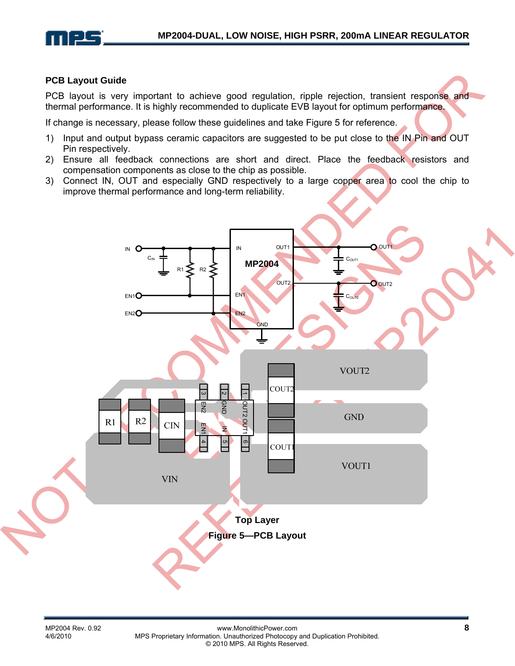

#### **PCB Layout Guide**

PCB layout is very important to achieve good regulation, ripple rejection, transient response and thermal performance. It is highly recommended to duplicate EVB layout for optimum performance.

If change is necessary, please follow these guidelines and take Figure 5 for reference.

- 1) Input and output bypass ceramic capacitors are suggested to be put close to the IN Pin and OUT Pin respectively.
- 2) Ensure all feedback connections are short and direct. Place the feedback resistors and compensation components as close to the chip as possible.
- 3) Connect IN, OUT and especially GND respectively to a large copper area to cool the chip to improve thermal performance and long-term reliability.